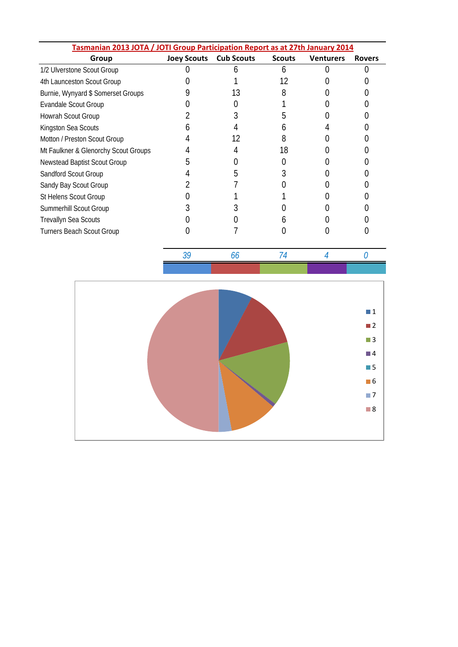| Tasmanian 2013 JOTA / JOTI Group Participation Report as at 27th January 2014 |                    |                   |               |                  |               |  |  |  |  |
|-------------------------------------------------------------------------------|--------------------|-------------------|---------------|------------------|---------------|--|--|--|--|
| Group                                                                         | <b>Joey Scouts</b> | <b>Cub Scouts</b> | <b>Scouts</b> | <b>Venturers</b> | <b>Rovers</b> |  |  |  |  |
| 1/2 Ulverstone Scout Group                                                    |                    |                   |               |                  |               |  |  |  |  |
| 4th Launceston Scout Group                                                    |                    |                   |               |                  |               |  |  |  |  |
| Burnie, Wynyard \$ Somerset Groups                                            |                    |                   |               |                  |               |  |  |  |  |
| <b>Evandale Scout Group</b>                                                   |                    |                   |               |                  |               |  |  |  |  |
| Howrah Scout Group                                                            |                    |                   |               |                  |               |  |  |  |  |
| Kingston Sea Scouts                                                           |                    |                   |               |                  |               |  |  |  |  |
| Motton / Preston Scout Group                                                  |                    | 12                |               |                  |               |  |  |  |  |
| Mt Faulkner & Glenorchy Scout Groups                                          |                    |                   | 18            |                  |               |  |  |  |  |
| <b>Newstead Baptist Scout Group</b>                                           |                    |                   |               |                  |               |  |  |  |  |
| Sandford Scout Group                                                          |                    |                   |               |                  |               |  |  |  |  |
| Sandy Bay Scout Group                                                         |                    |                   |               |                  |               |  |  |  |  |
| St Helens Scout Group                                                         |                    |                   |               |                  |               |  |  |  |  |
| Summerhill Scout Group                                                        |                    |                   |               |                  |               |  |  |  |  |
| Trevallyn Sea Scouts                                                          |                    |                   |               |                  |               |  |  |  |  |
| <b>Turners Beach Scout Group</b>                                              |                    |                   |               |                  |               |  |  |  |  |

*39 66 74 4 0*